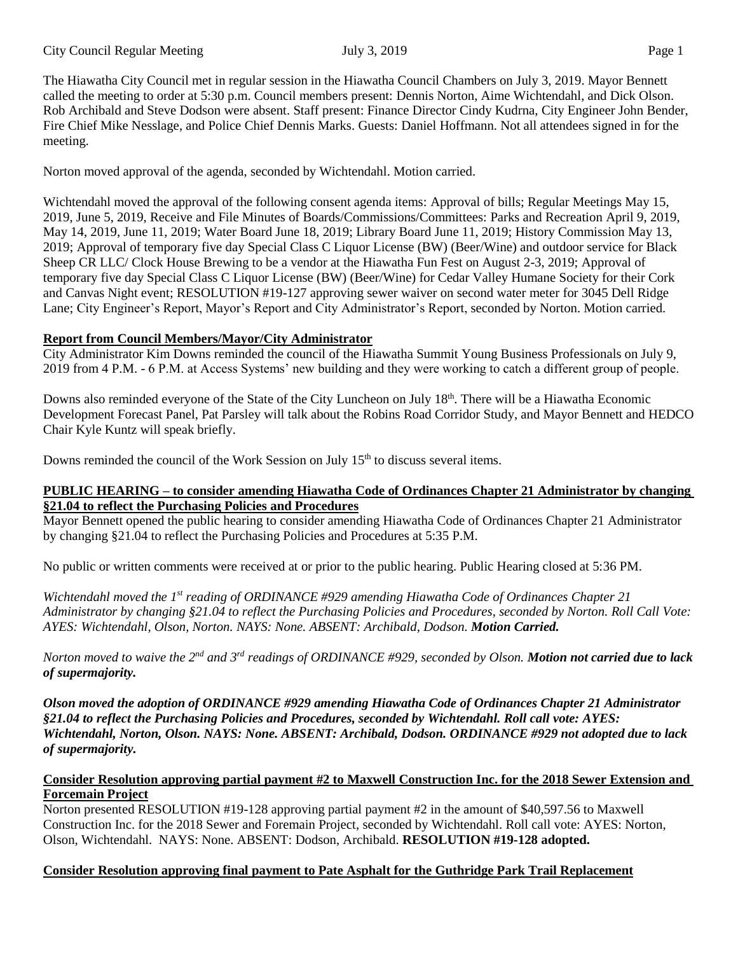The Hiawatha City Council met in regular session in the Hiawatha Council Chambers on July 3, 2019. Mayor Bennett called the meeting to order at 5:30 p.m. Council members present: Dennis Norton, Aime Wichtendahl, and Dick Olson. Rob Archibald and Steve Dodson were absent. Staff present: Finance Director Cindy Kudrna, City Engineer John Bender, Fire Chief Mike Nesslage, and Police Chief Dennis Marks. Guests: Daniel Hoffmann. Not all attendees signed in for the meeting.

Norton moved approval of the agenda, seconded by Wichtendahl. Motion carried.

Wichtendahl moved the approval of the following consent agenda items: Approval of bills; Regular Meetings May 15, 2019, June 5, 2019, Receive and File Minutes of Boards/Commissions/Committees: Parks and Recreation April 9, 2019, May 14, 2019, June 11, 2019; Water Board June 18, 2019; Library Board June 11, 2019; History Commission May 13, 2019; Approval of temporary five day Special Class C Liquor License (BW) (Beer/Wine) and outdoor service for Black Sheep CR LLC/ Clock House Brewing to be a vendor at the Hiawatha Fun Fest on August 2-3, 2019; Approval of temporary five day Special Class C Liquor License (BW) (Beer/Wine) for Cedar Valley Humane Society for their Cork and Canvas Night event; RESOLUTION #19-127 approving sewer waiver on second water meter for 3045 Dell Ridge Lane; City Engineer's Report, Mayor's Report and City Administrator's Report, seconded by Norton. Motion carried.

## **Report from Council Members/Mayor/City Administrator**

City Administrator Kim Downs reminded the council of the Hiawatha Summit Young Business Professionals on July 9, 2019 from 4 P.M. - 6 P.M. at Access Systems' new building and they were working to catch a different group of people.

Downs also reminded everyone of the State of the City Luncheon on July 18<sup>th</sup>. There will be a Hiawatha Economic Development Forecast Panel, Pat Parsley will talk about the Robins Road Corridor Study, and Mayor Bennett and HEDCO Chair Kyle Kuntz will speak briefly.

Downs reminded the council of the Work Session on July 15<sup>th</sup> to discuss several items.

## **PUBLIC HEARING – to consider amending Hiawatha Code of Ordinances Chapter 21 Administrator by changing §21.04 to reflect the Purchasing Policies and Procedures**

Mayor Bennett opened the public hearing to consider amending Hiawatha Code of Ordinances Chapter 21 Administrator by changing §21.04 to reflect the Purchasing Policies and Procedures at 5:35 P.M.

No public or written comments were received at or prior to the public hearing. Public Hearing closed at 5:36 PM.

*Wichtendahl moved the 1st reading of ORDINANCE #929 amending Hiawatha Code of Ordinances Chapter 21 Administrator by changing §21.04 to reflect the Purchasing Policies and Procedures, seconded by Norton. Roll Call Vote: AYES: Wichtendahl, Olson, Norton. NAYS: None. ABSENT: Archibald, Dodson. Motion Carried.*

*Norton moved to waive the 2nd and 3rd readings of ORDINANCE #929, seconded by Olson. Motion not carried due to lack of supermajority.*

*Olson moved the adoption of ORDINANCE #929 amending Hiawatha Code of Ordinances Chapter 21 Administrator §21.04 to reflect the Purchasing Policies and Procedures, seconded by Wichtendahl. Roll call vote: AYES: Wichtendahl, Norton, Olson. NAYS: None. ABSENT: Archibald, Dodson. ORDINANCE #929 not adopted due to lack of supermajority.*

## **Consider Resolution approving partial payment #2 to Maxwell Construction Inc. for the 2018 Sewer Extension and Forcemain Project**

Norton presented RESOLUTION #19-128 approving partial payment #2 in the amount of \$40,597.56 to Maxwell Construction Inc. for the 2018 Sewer and Foremain Project, seconded by Wichtendahl. Roll call vote: AYES: Norton, Olson, Wichtendahl. NAYS: None. ABSENT: Dodson, Archibald. **RESOLUTION #19-128 adopted.**

# **Consider Resolution approving final payment to Pate Asphalt for the Guthridge Park Trail Replacement**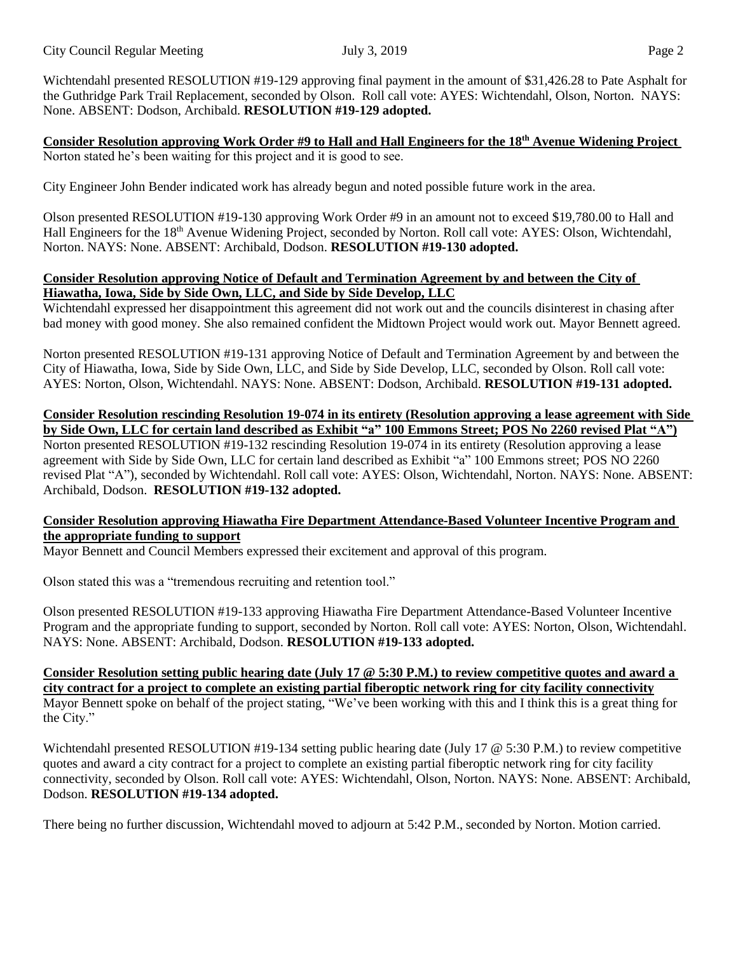Wichtendahl presented RESOLUTION #19-129 approving final payment in the amount of \$31,426.28 to Pate Asphalt for the Guthridge Park Trail Replacement, seconded by Olson. Roll call vote: AYES: Wichtendahl, Olson, Norton. NAYS: None. ABSENT: Dodson, Archibald. **RESOLUTION #19-129 adopted.**

**Consider Resolution approving Work Order #9 to Hall and Hall Engineers for the 18th Avenue Widening Project** Norton stated he's been waiting for this project and it is good to see.

City Engineer John Bender indicated work has already begun and noted possible future work in the area.

Olson presented RESOLUTION #19-130 approving Work Order #9 in an amount not to exceed \$19,780.00 to Hall and Hall Engineers for the 18<sup>th</sup> Avenue Widening Project, seconded by Norton. Roll call vote: AYES: Olson, Wichtendahl, Norton. NAYS: None. ABSENT: Archibald, Dodson. **RESOLUTION #19-130 adopted.**

## **Consider Resolution approving Notice of Default and Termination Agreement by and between the City of Hiawatha, Iowa, Side by Side Own, LLC, and Side by Side Develop, LLC**

Wichtendahl expressed her disappointment this agreement did not work out and the councils disinterest in chasing after bad money with good money. She also remained confident the Midtown Project would work out. Mayor Bennett agreed.

Norton presented RESOLUTION #19-131 approving Notice of Default and Termination Agreement by and between the City of Hiawatha, Iowa, Side by Side Own, LLC, and Side by Side Develop, LLC, seconded by Olson. Roll call vote: AYES: Norton, Olson, Wichtendahl. NAYS: None. ABSENT: Dodson, Archibald. **RESOLUTION #19-131 adopted.**

**Consider Resolution rescinding Resolution 19-074 in its entirety (Resolution approving a lease agreement with Side** by Side Own, LLC for certain land described as Exhibit "a" 100 Emmons Street; POS No 2260 revised Plat "A") Norton presented RESOLUTION #19-132 rescinding Resolution 19-074 in its entirety (Resolution approving a lease agreement with Side by Side Own, LLC for certain land described as Exhibit "a" 100 Emmons street; POS NO 2260 revised Plat "A"), seconded by Wichtendahl. Roll call vote: AYES: Olson, Wichtendahl, Norton. NAYS: None. ABSENT: Archibald, Dodson. **RESOLUTION #19-132 adopted.** 

## **Consider Resolution approving Hiawatha Fire Department Attendance-Based Volunteer Incentive Program and the appropriate funding to support**

Mayor Bennett and Council Members expressed their excitement and approval of this program.

Olson stated this was a "tremendous recruiting and retention tool."

Olson presented RESOLUTION #19-133 approving Hiawatha Fire Department Attendance-Based Volunteer Incentive Program and the appropriate funding to support, seconded by Norton. Roll call vote: AYES: Norton, Olson, Wichtendahl. NAYS: None. ABSENT: Archibald, Dodson. **RESOLUTION #19-133 adopted.** 

Consider Resolution setting public hearing date (July 17  $\circledcirc$  5:30 P.M.) to review competitive quotes and award a city contract for a project to complete an existing partial fiberoptic network ring for city facility connectivity Mayor Bennett spoke on behalf of the project stating, "We've been working with this and I think this is a great thing for the City."

Wichtendahl presented RESOLUTION #19-134 setting public hearing date (July 17  $\omega$  5:30 P.M.) to review competitive quotes and award a city contract for a project to complete an existing partial fiberoptic network ring for city facility connectivity, seconded by Olson. Roll call vote: AYES: Wichtendahl, Olson, Norton. NAYS: None. ABSENT: Archibald, Dodson. **RESOLUTION #19-134 adopted.**

There being no further discussion, Wichtendahl moved to adjourn at 5:42 P.M., seconded by Norton. Motion carried.